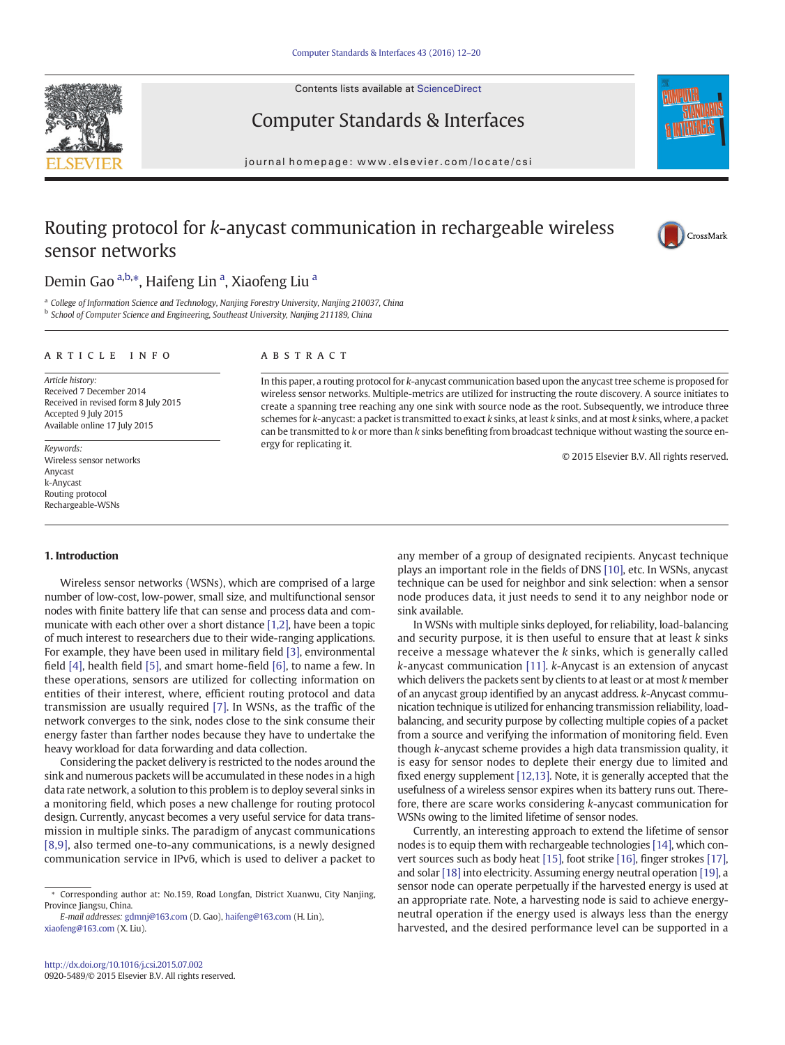Contents lists available at ScienceDirect





## Computer Standards & Interfaces

journal homepage:<www.elsevier.com/locate/csi>

## Routing protocol for k-anycast communication in rechargeable wireless sensor networks



## Demin Gao a,b,\*, Haifeng Lin <sup>a</sup>, Xiaofeng Liu <sup>a</sup>

<sup>a</sup> College of Information Science and Technology, Nanjing Forestry University, Nanjing 210037, China **b** School of Computer Science and Engineering, Southeast University, Nanjing 211189, China

### article info abstract

Article history: Received 7 December 2014 Received in revised form 8 July 2015 Accepted 9 July 2015 Available online 17 July 2015

Keywords: Wireless sensor networks Anycast k-Anycast Routing protocol Rechargeable-WSNs

In this paper, a routing protocol for k-anycast communication based upon the anycast tree scheme is proposed for wireless sensor networks. Multiple-metrics are utilized for instructing the route discovery. A source initiates to create a spanning tree reaching any one sink with source node as the root. Subsequently, we introduce three schemes for k-anycast: a packet is transmitted to exact k sinks, at least k sinks, and at most k sinks, where, a packet can be transmitted to k or more than k sinks benefiting from broadcast technique without wasting the source energy for replicating it.

© 2015 Elsevier B.V. All rights reserved.

### 1. Introduction

Wireless sensor networks (WSNs), which are comprised of a large number of low-cost, low-power, small size, and multifunctional sensor nodes with finite battery life that can sense and process data and communicate with each other over a short distance [\[1,2\],](#page--1-0) have been a topic of much interest to researchers due to their wide-ranging applications. For example, they have been used in military field [\[3\]](#page--1-0), environmental field [\[4\]](#page--1-0), health field [\[5\],](#page--1-0) and smart home-field [\[6\],](#page--1-0) to name a few. In these operations, sensors are utilized for collecting information on entities of their interest, where, efficient routing protocol and data transmission are usually required [\[7\].](#page--1-0) In WSNs, as the traffic of the network converges to the sink, nodes close to the sink consume their energy faster than farther nodes because they have to undertake the heavy workload for data forwarding and data collection.

Considering the packet delivery is restricted to the nodes around the sink and numerous packets will be accumulated in these nodes in a high data rate network, a solution to this problem is to deploy several sinks in a monitoring field, which poses a new challenge for routing protocol design. Currently, anycast becomes a very useful service for data transmission in multiple sinks. The paradigm of anycast communications [\[8,9\],](#page--1-0) also termed one-to-any communications, is a newly designed communication service in IPv6, which is used to deliver a packet to

E-mail addresses: [gdmnj@163.com](mailto:gdmnj@163.com) (D. Gao), [haifeng@163.com](mailto:haifeng@163.com) (H. Lin), [xiaofeng@163.com](mailto:xiaofeng@163.com) (X. Liu).

any member of a group of designated recipients. Anycast technique plays an important role in the fields of DNS [\[10\],](#page--1-0) etc. In WSNs, anycast technique can be used for neighbor and sink selection: when a sensor node produces data, it just needs to send it to any neighbor node or sink available.

In WSNs with multiple sinks deployed, for reliability, load-balancing and security purpose, it is then useful to ensure that at least  $k$  sinks receive a message whatever the k sinks, which is generally called k-anycast communication [\[11\]](#page--1-0). k-Anycast is an extension of anycast which delivers the packets sent by clients to at least or at most k member of an anycast group identified by an anycast address. k-Anycast communication technique is utilized for enhancing transmission reliability, loadbalancing, and security purpose by collecting multiple copies of a packet from a source and verifying the information of monitoring field. Even though k-anycast scheme provides a high data transmission quality, it is easy for sensor nodes to deplete their energy due to limited and fixed energy supplement [\[12,13\]](#page--1-0). Note, it is generally accepted that the usefulness of a wireless sensor expires when its battery runs out. Therefore, there are scare works considering k-anycast communication for WSNs owing to the limited lifetime of sensor nodes.

Currently, an interesting approach to extend the lifetime of sensor nodes is to equip them with rechargeable technologies [\[14\],](#page--1-0) which convert sources such as body heat [\[15\]](#page--1-0), foot strike [\[16\]](#page--1-0), finger strokes [\[17\],](#page--1-0) and solar [\[18\]](#page--1-0) into electricity. Assuming energy neutral operation [\[19\]](#page--1-0), a sensor node can operate perpetually if the harvested energy is used at an appropriate rate. Note, a harvesting node is said to achieve energyneutral operation if the energy used is always less than the energy harvested, and the desired performance level can be supported in a

<sup>⁎</sup> Corresponding author at: No.159, Road Longfan, District Xuanwu, City Nanjing, Province Jiangsu, China.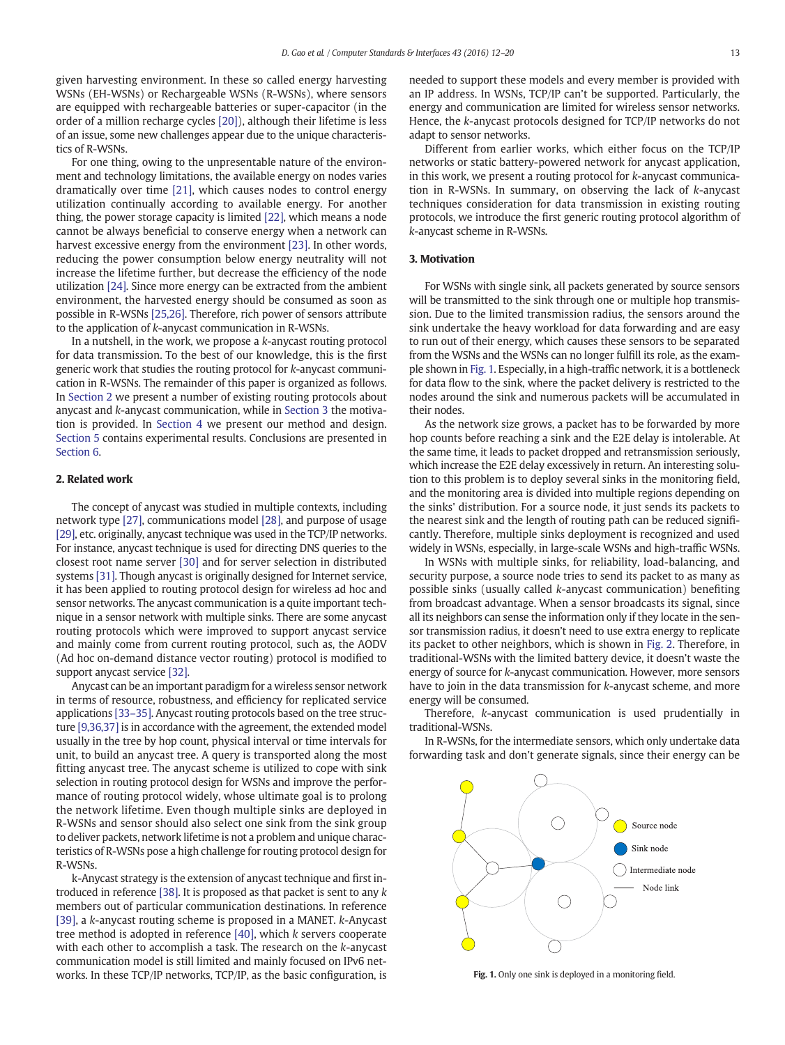given harvesting environment. In these so called energy harvesting WSNs (EH-WSNs) or Rechargeable WSNs (R-WSNs), where sensors are equipped with rechargeable batteries or super-capacitor (in the order of a million recharge cycles [\[20\]](#page--1-0)), although their lifetime is less of an issue, some new challenges appear due to the unique characteristics of R-WSNs.

For one thing, owing to the unpresentable nature of the environment and technology limitations, the available energy on nodes varies dramatically over time [\[21\],](#page--1-0) which causes nodes to control energy utilization continually according to available energy. For another thing, the power storage capacity is limited [\[22\]](#page--1-0), which means a node cannot be always beneficial to conserve energy when a network can harvest excessive energy from the environment [\[23\].](#page--1-0) In other words, reducing the power consumption below energy neutrality will not increase the lifetime further, but decrease the efficiency of the node utilization [\[24\].](#page--1-0) Since more energy can be extracted from the ambient environment, the harvested energy should be consumed as soon as possible in R-WSNs [\[25,26\]](#page--1-0). Therefore, rich power of sensors attribute to the application of k-anycast communication in R-WSNs.

In a nutshell, in the work, we propose a k-anycast routing protocol for data transmission. To the best of our knowledge, this is the first generic work that studies the routing protocol for k-anycast communication in R-WSNs. The remainder of this paper is organized as follows. In Section 2 we present a number of existing routing protocols about anycast and k-anycast communication, while in Section 3 the motivation is provided. In [Section 4](#page--1-0) we present our method and design. [Section 5](#page--1-0) contains experimental results. Conclusions are presented in [Section 6.](#page--1-0)

### 2. Related work

The concept of anycast was studied in multiple contexts, including network type [\[27\],](#page--1-0) communications model [\[28\],](#page--1-0) and purpose of usage [\[29\],](#page--1-0) etc. originally, anycast technique was used in the TCP/IP networks. For instance, anycast technique is used for directing DNS queries to the closest root name server [\[30\]](#page--1-0) and for server selection in distributed systems [\[31\]](#page--1-0). Though anycast is originally designed for Internet service, it has been applied to routing protocol design for wireless ad hoc and sensor networks. The anycast communication is a quite important technique in a sensor network with multiple sinks. There are some anycast routing protocols which were improved to support anycast service and mainly come from current routing protocol, such as, the AODV (Ad hoc on-demand distance vector routing) protocol is modified to support anycast service [\[32\]](#page--1-0).

Anycast can be an important paradigm for a wireless sensor network in terms of resource, robustness, and efficiency for replicated service applications [33–[35\].](#page--1-0) Anycast routing protocols based on the tree structure [\[9,36,37\]](#page--1-0) is in accordance with the agreement, the extended model usually in the tree by hop count, physical interval or time intervals for unit, to build an anycast tree. A query is transported along the most fitting anycast tree. The anycast scheme is utilized to cope with sink selection in routing protocol design for WSNs and improve the performance of routing protocol widely, whose ultimate goal is to prolong the network lifetime. Even though multiple sinks are deployed in R-WSNs and sensor should also select one sink from the sink group to deliver packets, network lifetime is not a problem and unique characteristics of R-WSNs pose a high challenge for routing protocol design for R-WSNs.

k-Anycast strategy is the extension of anycast technique and first introduced in reference [\[38\]](#page--1-0). It is proposed as that packet is sent to any k members out of particular communication destinations. In reference [\[39\]](#page--1-0), a k-anycast routing scheme is proposed in a MANET. k-Anycast tree method is adopted in reference [\[40\],](#page--1-0) which k servers cooperate with each other to accomplish a task. The research on the k-anycast communication model is still limited and mainly focused on IPv6 networks. In these TCP/IP networks, TCP/IP, as the basic configuration, is needed to support these models and every member is provided with an IP address. In WSNs, TCP/IP can't be supported. Particularly, the energy and communication are limited for wireless sensor networks. Hence, the k-anycast protocols designed for TCP/IP networks do not adapt to sensor networks.

Different from earlier works, which either focus on the TCP/IP networks or static battery-powered network for anycast application, in this work, we present a routing protocol for k-anycast communication in R-WSNs. In summary, on observing the lack of k-anycast techniques consideration for data transmission in existing routing protocols, we introduce the first generic routing protocol algorithm of k-anycast scheme in R-WSNs.

### 3. Motivation

For WSNs with single sink, all packets generated by source sensors will be transmitted to the sink through one or multiple hop transmission. Due to the limited transmission radius, the sensors around the sink undertake the heavy workload for data forwarding and are easy to run out of their energy, which causes these sensors to be separated from the WSNs and the WSNs can no longer fulfill its role, as the example shown in Fig. 1. Especially, in a high-traffic network, it is a bottleneck for data flow to the sink, where the packet delivery is restricted to the nodes around the sink and numerous packets will be accumulated in their nodes.

As the network size grows, a packet has to be forwarded by more hop counts before reaching a sink and the E2E delay is intolerable. At the same time, it leads to packet dropped and retransmission seriously, which increase the E2E delay excessively in return. An interesting solution to this problem is to deploy several sinks in the monitoring field, and the monitoring area is divided into multiple regions depending on the sinks' distribution. For a source node, it just sends its packets to the nearest sink and the length of routing path can be reduced significantly. Therefore, multiple sinks deployment is recognized and used widely in WSNs, especially, in large-scale WSNs and high-traffic WSNs.

In WSNs with multiple sinks, for reliability, load-balancing, and security purpose, a source node tries to send its packet to as many as possible sinks (usually called k-anycast communication) benefiting from broadcast advantage. When a sensor broadcasts its signal, since all its neighbors can sense the information only if they locate in the sensor transmission radius, it doesn't need to use extra energy to replicate its packet to other neighbors, which is shown in [Fig. 2](#page--1-0). Therefore, in traditional-WSNs with the limited battery device, it doesn't waste the energy of source for k-anycast communication. However, more sensors have to join in the data transmission for k-anycast scheme, and more energy will be consumed.

Therefore, k-anycast communication is used prudentially in traditional-WSNs.

In R-WSNs, for the intermediate sensors, which only undertake data forwarding task and don't generate signals, since their energy can be



Fig. 1. Only one sink is deployed in a monitoring field.